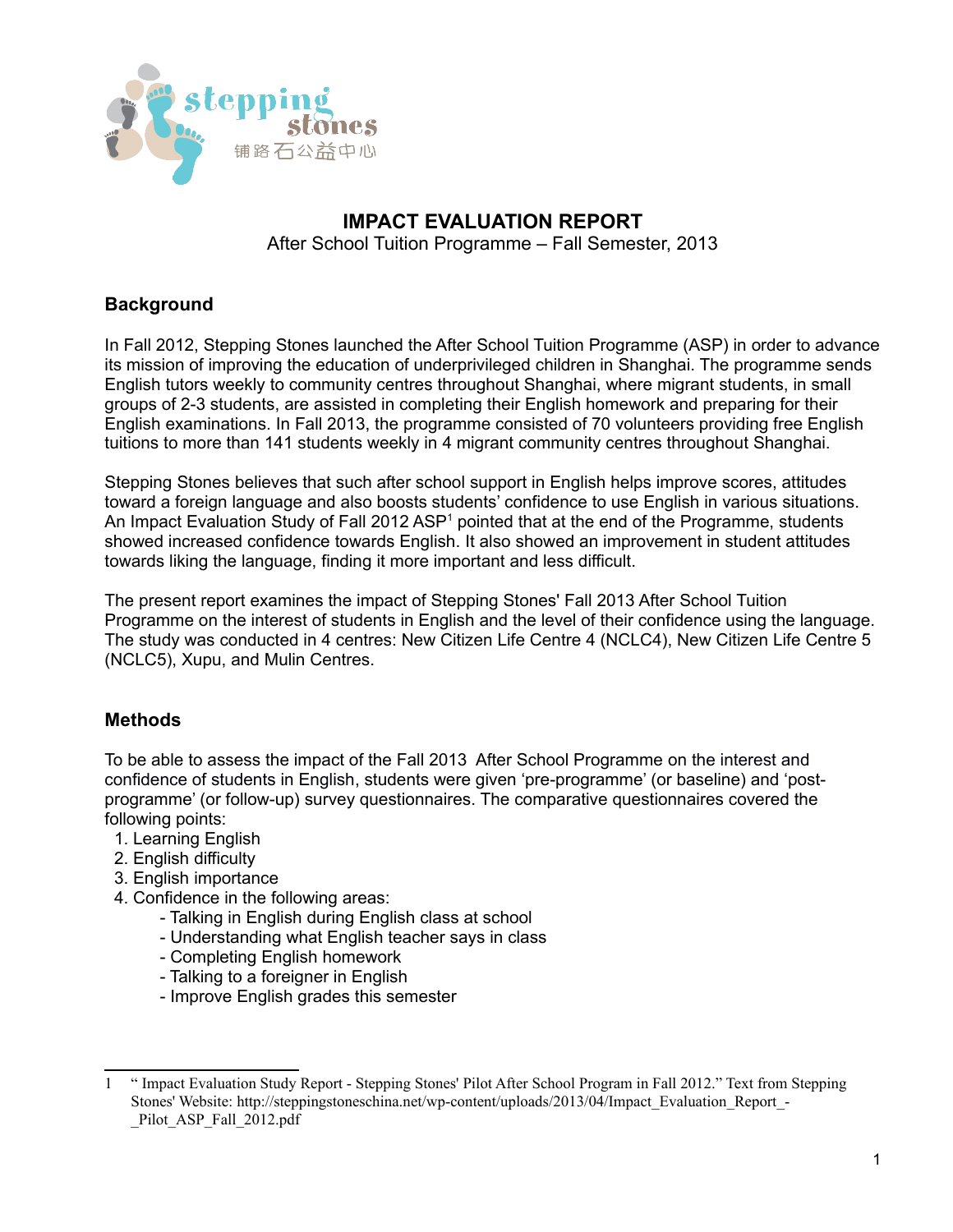

# **IMPACT EVALUATION REPORT**

After School Tuition Programme – Fall Semester, 2013

# **Background**

In Fall 2012, Stepping Stones launched the After School Tuition Programme (ASP) in order to advance its mission of improving the education of underprivileged children in Shanghai. The programme sends English tutors weekly to community centres throughout Shanghai, where migrant students, in small groups of 2-3 students, are assisted in completing their English homework and preparing for their English examinations. In Fall 2013, the programme consisted of 70 volunteers providing free English tuitions to more than 141 students weekly in 4 migrant community centres throughout Shanghai.

Stepping Stones believes that such after school support in English helps improve scores, attitudes toward a foreign language and also boosts students' confidence to use English in various situations. An Impact Evaluation Study of Fall 20[1](#page-0-0)2 ASP<sup>1</sup> pointed that at the end of the Programme, students showed increased confidence towards English. It also showed an improvement in student attitudes towards liking the language, finding it more important and less difficult.

The present report examines the impact of Stepping Stones' Fall 2013 After School Tuition Programme on the interest of students in English and the level of their confidence using the language. The study was conducted in 4 centres: New Citizen Life Centre 4 (NCLC4), New Citizen Life Centre 5 (NCLC5), Xupu, and Mulin Centres.

# **Methods**

To be able to assess the impact of the Fall 2013 After School Programme on the interest and confidence of students in English, students were given 'pre-programme' (or baseline) and 'postprogramme' (or follow-up) survey questionnaires. The comparative questionnaires covered the following points:

- 1. Learning English
- 2. English difficulty
- 3. English importance
- 4. Confidence in the following areas:
	- Talking in English during English class at school
	- Understanding what English teacher says in class
	- Completing English homework
	- Talking to a foreigner in English
	- Improve English grades this semester

<span id="page-0-0"></span><sup>1</sup> " Impact Evaluation Study Report - Stepping Stones' Pilot After School Program in Fall 2012." Text from Stepping Stones' Website: http://steppingstoneschina.net/wp-content/uploads/2013/04/Impact\_Evaluation\_Report\_- Pilot ASP Fall 2012.pdf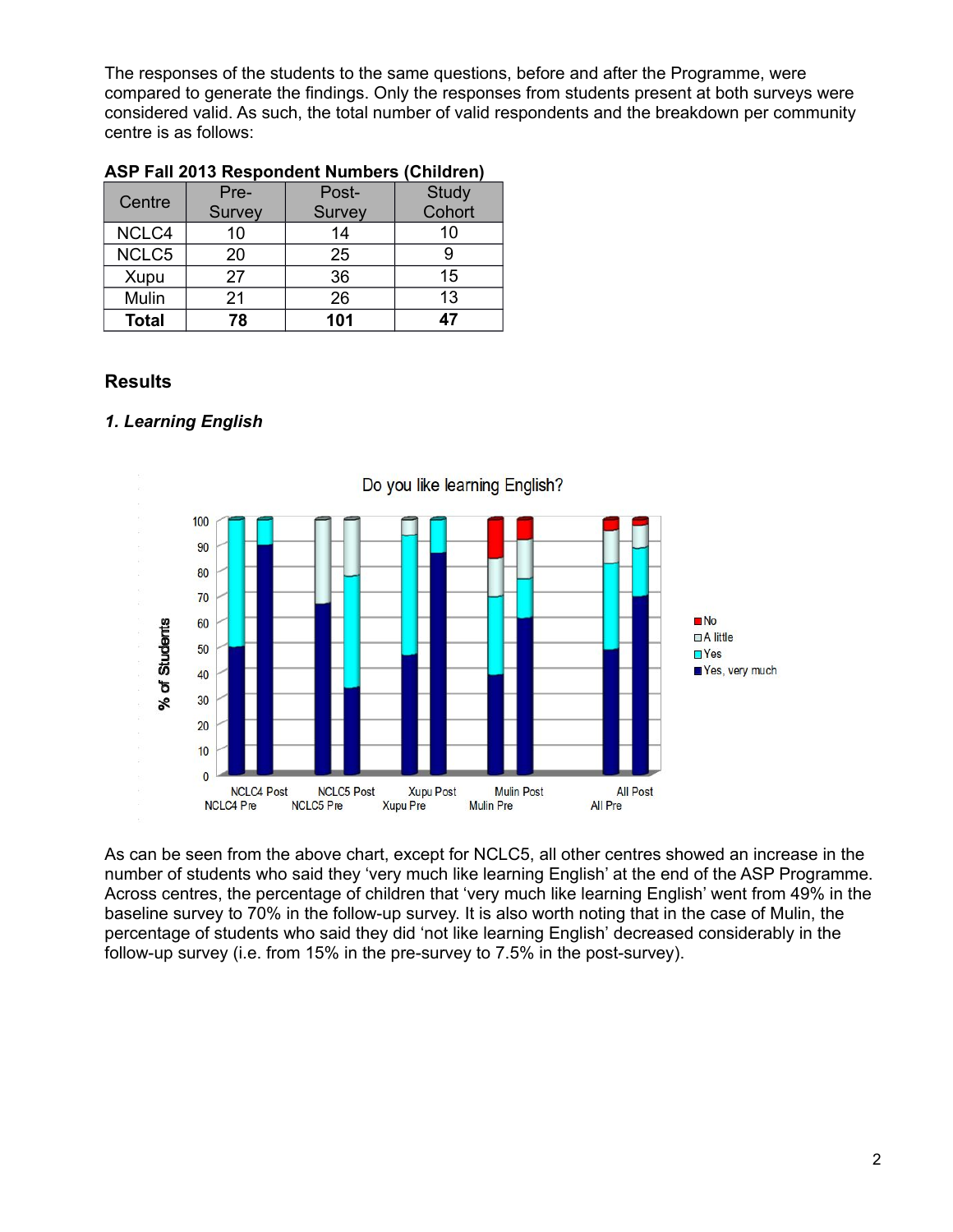The responses of the students to the same questions, before and after the Programme, were compared to generate the findings. Only the responses from students present at both surveys were considered valid. As such, the total number of valid respondents and the breakdown per community centre is as follows:

| Centre       | Pre-   | Post-  | Study  |
|--------------|--------|--------|--------|
|              | Survey | Survey | Cohort |
| NCLC4        | 10     | 14     | 10     |
| NCLC5        | 20     | 25     |        |
| Xupu         | 27     | 36     | 15     |
| Mulin        | 21     | 26     | 13     |
| <b>Total</b> | 78     | 101    | 47     |

### **ASP Fall 2013 Respondent Numbers (Children)**

### **Results**

### *1. Learning English*



As can be seen from the above chart, except for NCLC5, all other centres showed an increase in the number of students who said they 'very much like learning English' at the end of the ASP Programme. Across centres, the percentage of children that 'very much like learning English' went from 49% in the baseline survey to 70% in the follow-up survey. It is also worth noting that in the case of Mulin, the percentage of students who said they did 'not like learning English' decreased considerably in the follow-up survey (i.e. from 15% in the pre-survey to 7.5% in the post-survey).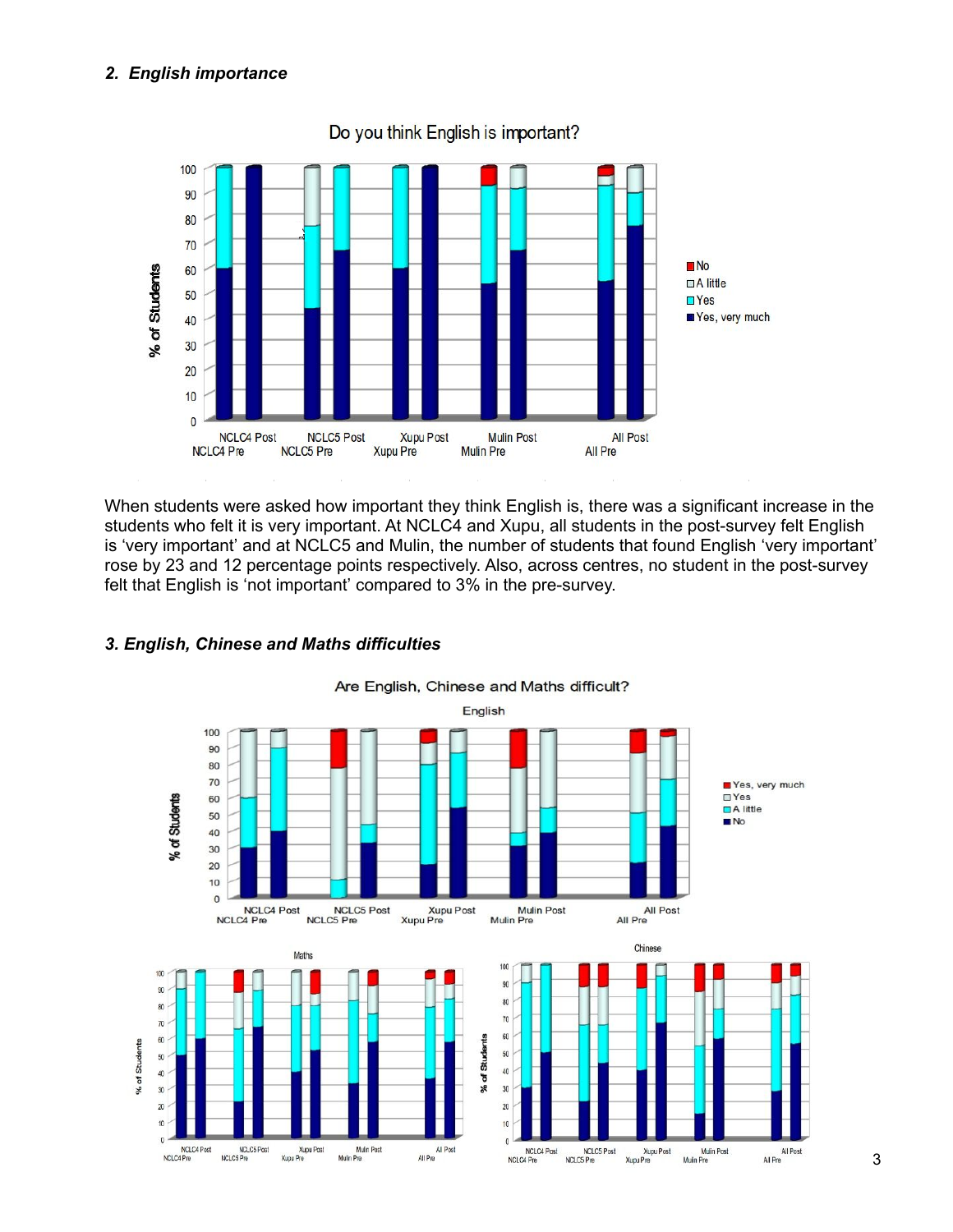# *2. English importance*



Do you think English is important?

When students were asked how important they think English is, there was a significant increase in the students who felt it is very important. At NCLC4 and Xupu, all students in the post-survey felt English is 'very important' and at NCLC5 and Mulin, the number of students that found English 'very important' rose by 23 and 12 percentage points respectively. Also, across centres, no student in the post-survey felt that English is 'not important' compared to 3% in the pre-survey.



### *3. English, Chinese and Maths difficulties*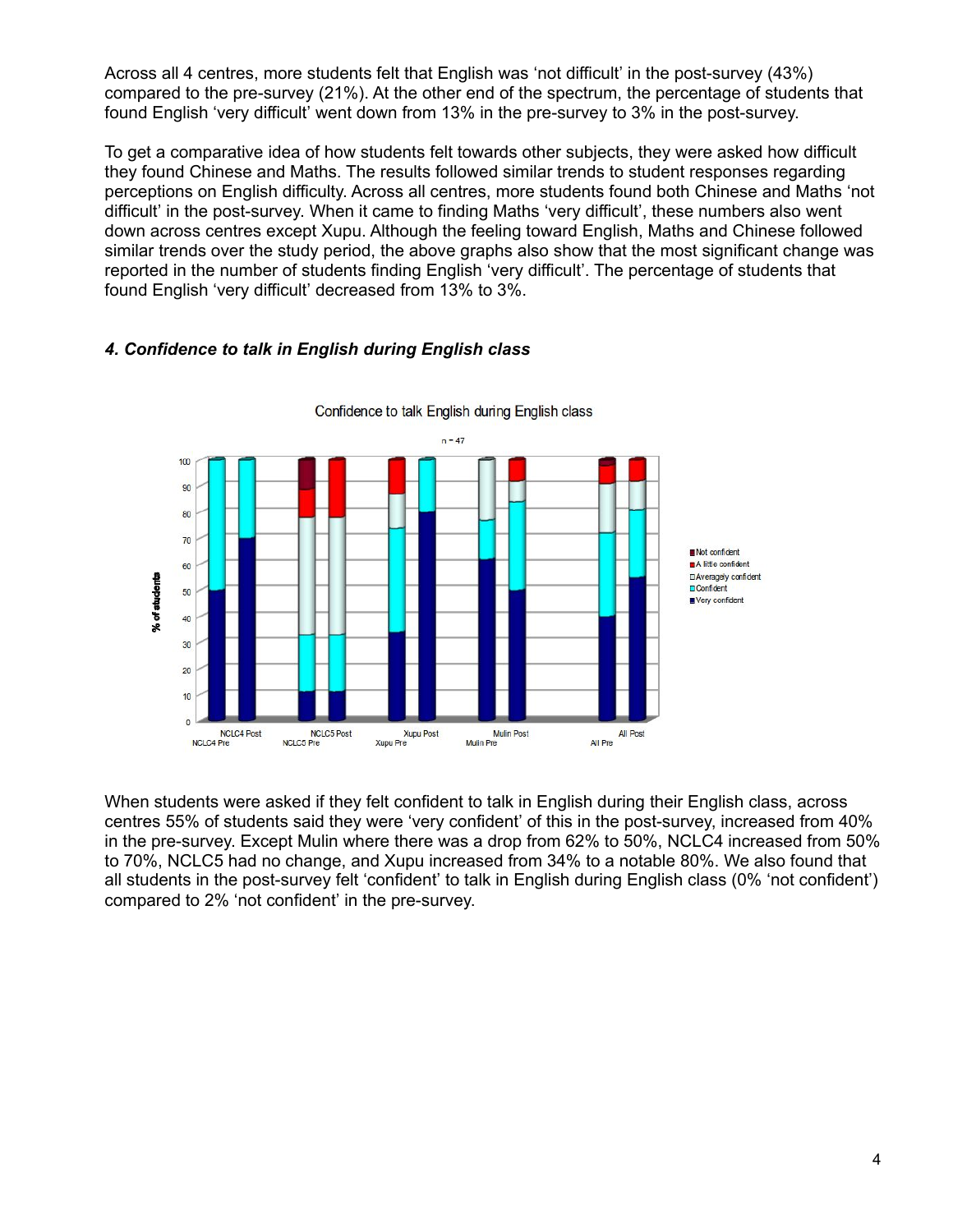Across all 4 centres, more students felt that English was 'not difficult' in the post-survey (43%) compared to the pre-survey (21%). At the other end of the spectrum, the percentage of students that found English 'very difficult' went down from 13% in the pre-survey to 3% in the post-survey.

To get a comparative idea of how students felt towards other subjects, they were asked how difficult they found Chinese and Maths. The results followed similar trends to student responses regarding perceptions on English difficulty. Across all centres, more students found both Chinese and Maths 'not difficult' in the post-survey. When it came to finding Maths 'very difficult', these numbers also went down across centres except Xupu. Although the feeling toward English, Maths and Chinese followed similar trends over the study period, the above graphs also show that the most significant change was reported in the number of students finding English 'very difficult'. The percentage of students that found English 'very difficult' decreased from 13% to 3%.

#### $n = 47$ 100  $90$ 80  $70$ Not confident A little confident 60 □ Averagely confident % of students **D**Confident 50 Very confident 40 30  $\overline{20}$  $10$  $\overline{0}$ **Xupu Post** NCLC4 Post NCLC5 Post **Mulin Post All Post** NCLC4 Pre NCLC5 Pre Xupu Pre All Pre Mulin Pre

Confidence to talk English during English class

# *4. Confidence to talk in English during English class*

When students were asked if they felt confident to talk in English during their English class, across centres 55% of students said they were 'very confident' of this in the post-survey, increased from 40% in the pre-survey. Except Mulin where there was a drop from 62% to 50%, NCLC4 increased from 50% to 70%, NCLC5 had no change, and Xupu increased from 34% to a notable 80%. We also found that all students in the post-survey felt 'confident' to talk in English during English class (0% 'not confident') compared to 2% 'not confident' in the pre-survey.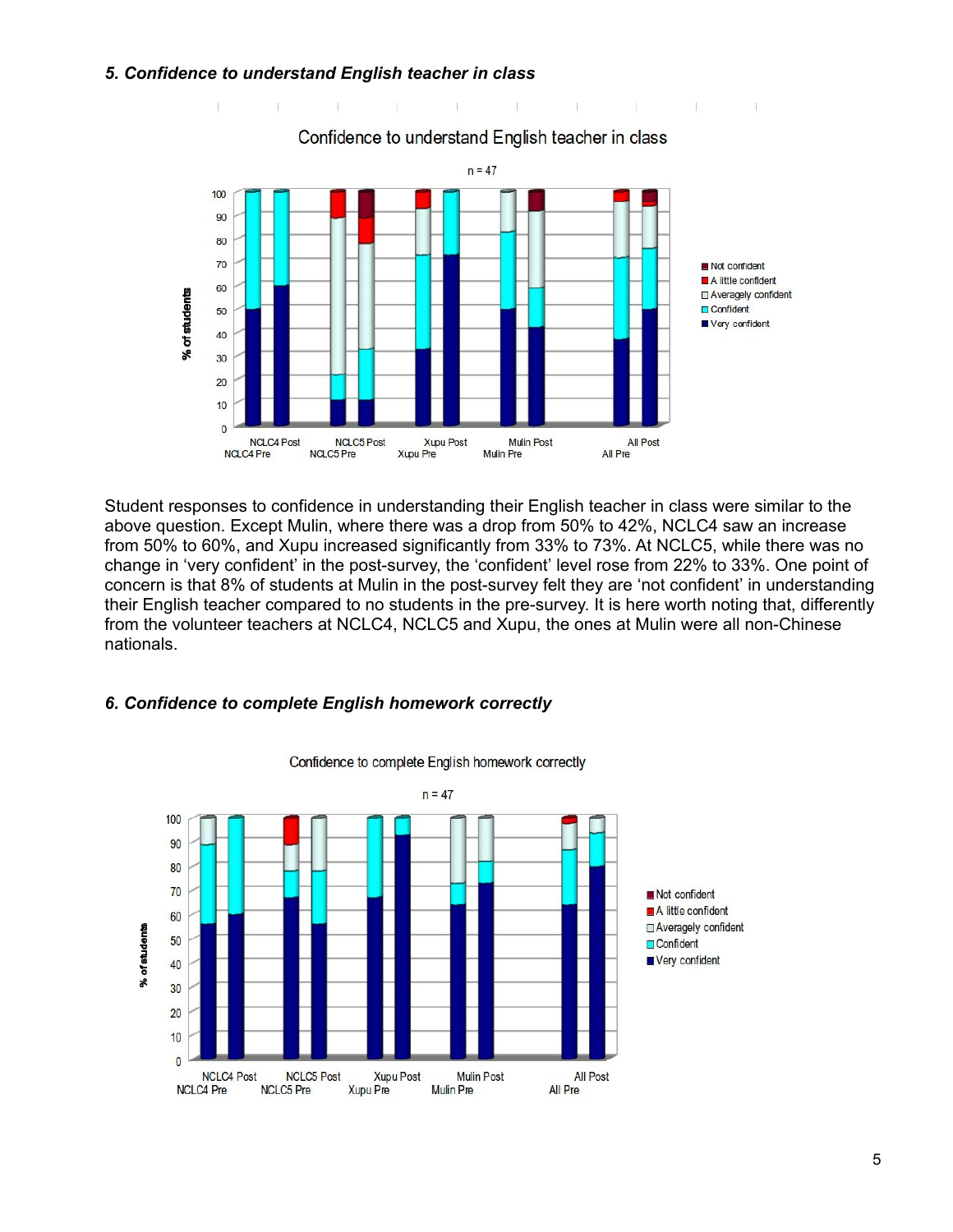### *5. Confidence to understand English teacher in class*

 $\top$ 



Confidence to understand English teacher in class

the contract of the contract of the

Student responses to confidence in understanding their English teacher in class were similar to the above question. Except Mulin, where there was a drop from 50% to 42%, NCLC4 saw an increase from 50% to 60%, and Xupu increased significantly from 33% to 73%. At NCLC5, while there was no change in 'very confident' in the post-survey, the 'confident' level rose from 22% to 33%. One point of concern is that 8% of students at Mulin in the post-survey felt they are 'not confident' in understanding their English teacher compared to no students in the pre-survey. It is here worth noting that, differently from the volunteer teachers at NCLC4, NCLC5 and Xupu, the ones at Mulin were all non-Chinese nationals.

### *6. Confidence to complete English homework correctly*



Confidence to complete English homework correctly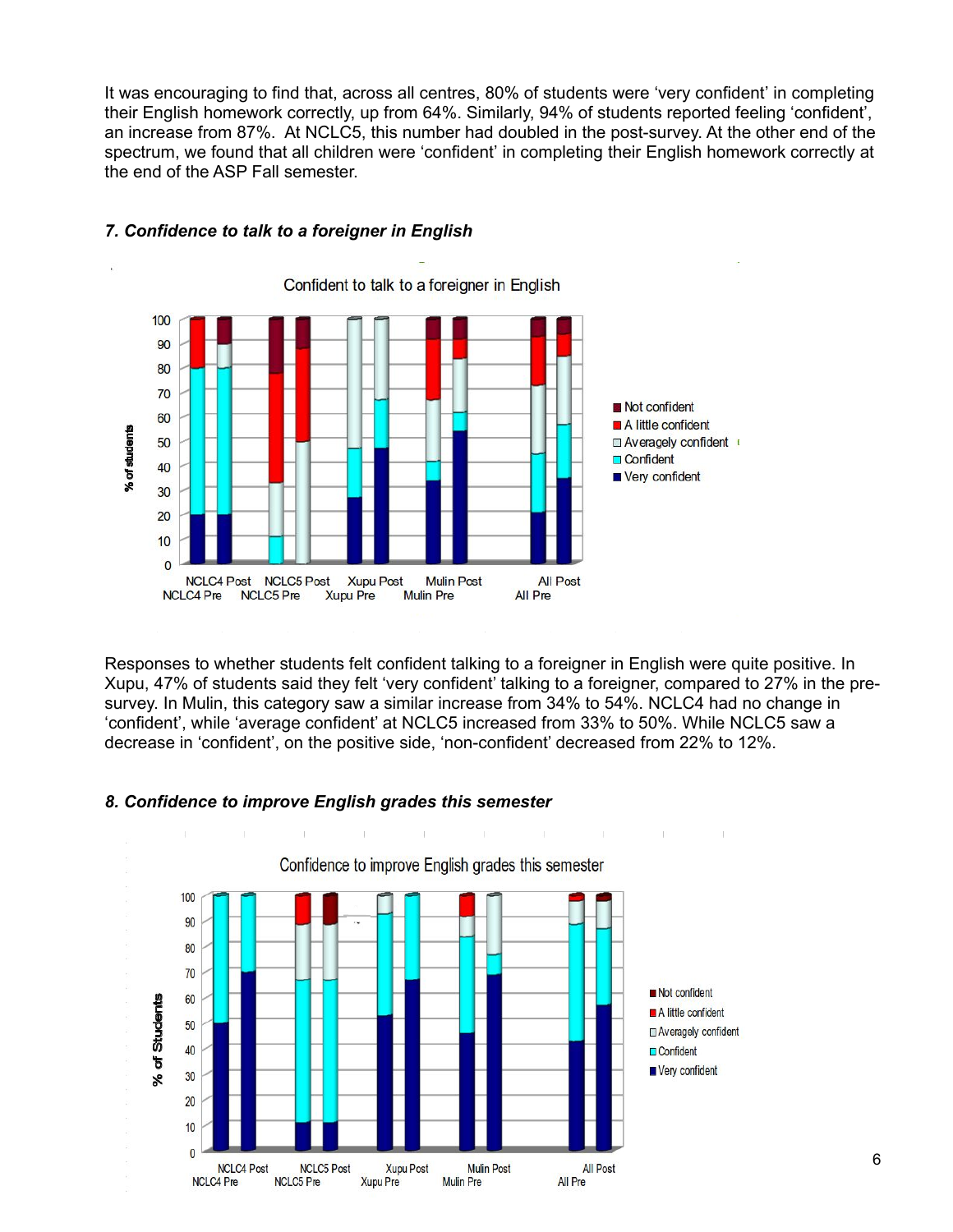It was encouraging to find that, across all centres, 80% of students were 'very confident' in completing their English homework correctly, up from 64%. Similarly, 94% of students reported feeling 'confident', an increase from 87%. At NCLC5, this number had doubled in the post-survey. At the other end of the spectrum, we found that all children were 'confident' in completing their English homework correctly at the end of the ASP Fall semester.



### *7. Confidence to talk to a foreigner in English*

Responses to whether students felt confident talking to a foreigner in English were quite positive. In Xupu, 47% of students said they felt 'very confident' talking to a foreigner, compared to 27% in the presurvey. In Mulin, this category saw a similar increase from 34% to 54%. NCLC4 had no change in 'confident', while 'average confident' at NCLC5 increased from 33% to 50%. While NCLC5 saw a decrease in 'confident', on the positive side, 'non-confident' decreased from 22% to 12%.

### *8. Confidence to improve English grades this semester*



6